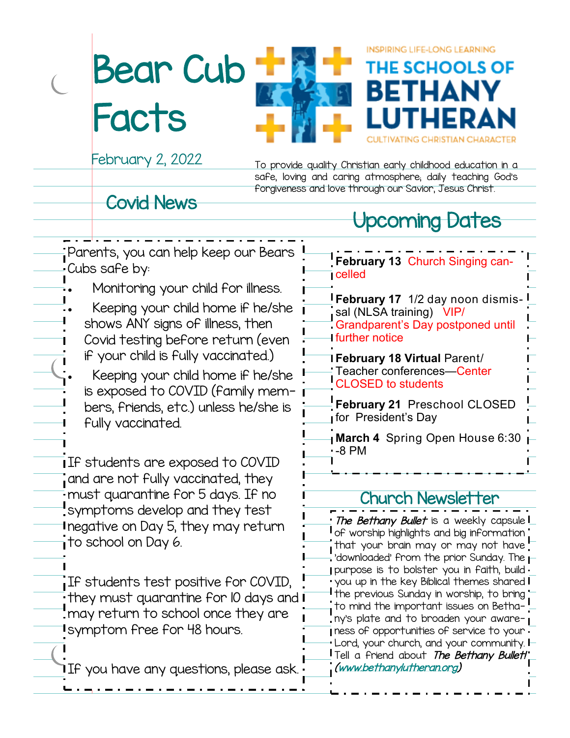Bear Cub **Facts** 



February 2, 2022

To provide quality Christian early childhood education in a safe, loving and caring atmosphere; daily teaching God's forgiveness and love through our Savior, Jesus Christ.

**INSPIRING LIFE-LONG LEARNING** 

BETHA

THE SCHOOLS OF

### Covid News

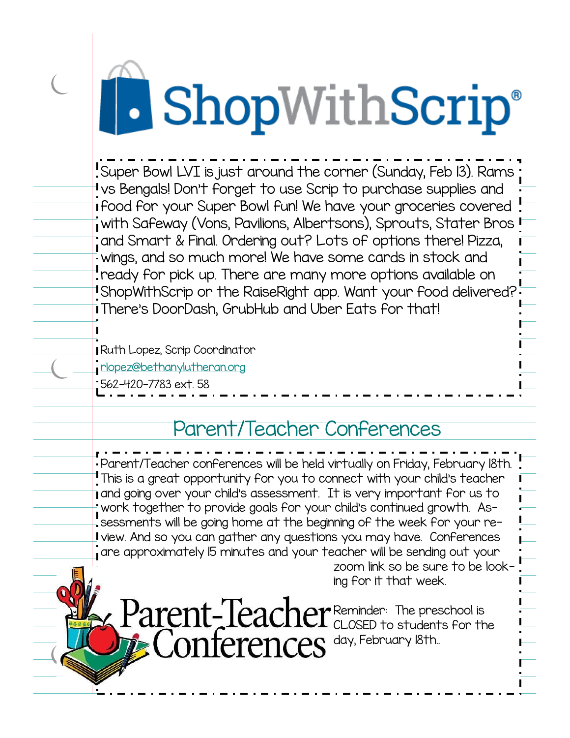# **ShopWithScrip®**

Super Bowl LVI is just around the corner (Sunday, Feb 13). Rams vs Bengals! Don't forget to use Scrip to purchase supplies and food for your Super Bowl fun! We have your groceries covered with Safeway (Vons, Pavilions, Albertsons), Sprouts, Stater Bros and Smart & Final. Ordering out? Lots of options there! Pizza, wings, and so much more! We have some cards in stock and ready for pick up. There are many more options available on ShopWithScrip or the RaiseRight app. Want your food delivered? There's DoorDash, GrubHub and Uber Eats for that!

Ruth Lopez, Scrip Coordinator [rlopez@bethanylutheran.org](mailto:rlopez@bethanylutheran.org)

562-420-7783 ext. 58

## Parent/Teacher Conferences

Parent/Teacher conferences will be held virtually on Friday, February 18th. This is a great opportunity for you to connect with your child's teacher I and going over your child's assessment. It is very important for us to work together to provide goals for your child's continued growth. Assessments will be going home at the beginning of the week for your review. And so you can gather any questions you may have. Conferences are approximately 15 minutes and your teacher will be sending out your zoom link so be sure to be looking for it that week.

Reminder: The preschool is CLOSED to students for the day, February 18th..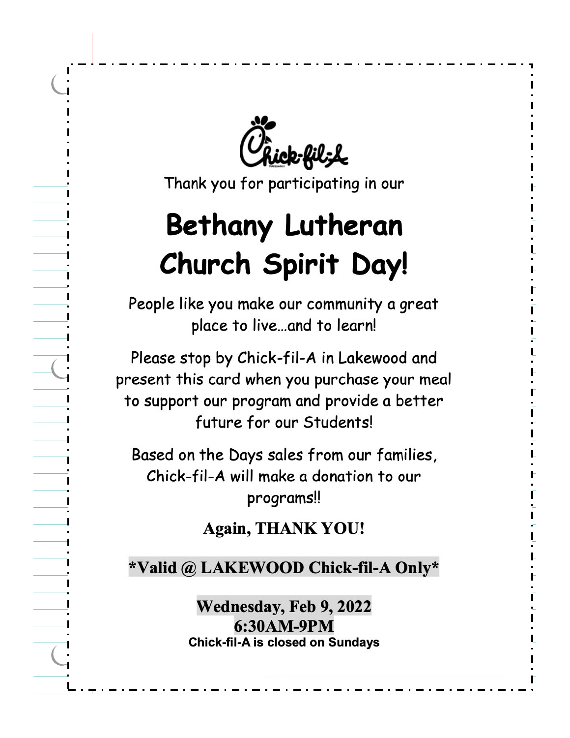*R*ick-fil<sub>3</sub>L

Thank you for participating in our

# **Bethany Lutheran Church Spirit Day!**

People like you make our community a great place to live...and to learn!

Please stop by Chick-fil-A in Lakewood and present this card when you purchase your meal to support our program and provide a better future for our Students!

Based on the Days sales from our families, Chick-fil-A will make a donation to our programs!!

**Again, THANK YOU!** 

\*Valid @ LAKEWOOD Chick-fil-A Only\*

Wednesday, Feb 9, 2022 6:30 AM-9PM **Chick-fil-A is closed on Sundays**